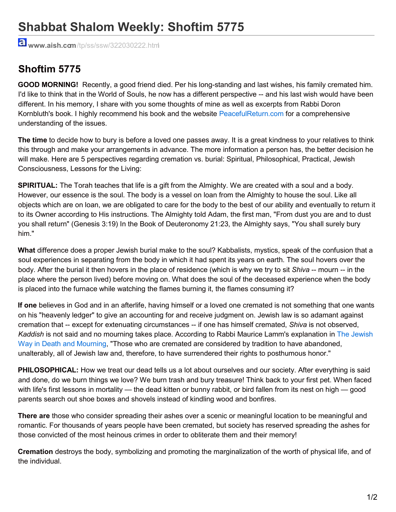## **Shabbat Shalom Weekly: Shoftim 5775**

**www.aish.com**/tp/ss/ssw/322030222.html

## **Shoftim 5775**

**GOOD MORNING!** Recently, a good friend died. Per his long-standing and last wishes, his family cremated him. I'd like to think that in the World of Souls, he now has a different perspective -- and his last wish would have been different. In his memory, I share with you some thoughts of mine as well as excerpts from Rabbi Doron Kornbluth's book. I highly recommend his book and the website PeacefulReturn.com for a comprehensive understanding of the issues.

**The time** to decide how to bury is before a loved one passes away. It is a great kindness to your relatives to think this through and make your arrangements in advance. The more information a person has, the better decision he will make. Here are 5 perspectives regarding cremation vs. burial: Spiritual, Philosophical, Practical, Jewish Consciousness, Lessons for the Living:

**SPIRITUAL:** The Torah teaches that life is a gift from the Almighty. We are created with a soul and a body. However, our essence is the soul. The body is a vessel on loan from the Almighty to house the soul. Like all objects which are on loan, we are obligated to care for the body to the best of our ability and eventually to return it to its Owner according to His instructions. The Almighty told Adam, the first man, "From dust you are and to dust you shall return" (Genesis 3:19) In the Book of Deuteronomy 21:23, the Almighty says, "You shall surely bury him."

**What** difference does a proper Jewish burial make to the soul? Kabbalists, mystics, speak of the confusion that a soul experiences in separating from the body in which it had spent its years on earth. The soul hovers over the body. After the burial it then hovers in the place of residence (which is why we try to sit *Shiva* -- mourn -- in the place where the person lived) before moving on. What does the soul of the deceased experience when the body is placed into the furnace while watching the flames burning it, the flames consuming it?

**If one** believes in God and in an afterlife, having himself or a loved one cremated is not something that one wants on his "heavenly ledger" to give an accounting for and receive judgment on. Jewish law is so adamant against cremation that -- except for extenuating circumstances -- if one has himself cremated, *Shiva* is not observed, *Kaddish* is not said and no mourning takes place. According to Rabbi Maurice Lamm's explanation in The Jewish Way in Death and Mourning, "Those who are cremated are considered by tradition to have abandoned, unalterably, all of Jewish law and, therefore, to have surrendered their rights to posthumous honor."

**PHILOSOPHICAL:** How we treat our dead tells us a lot about ourselves and our society. After everything is said and done, do we burn things we love? We burn trash and bury treasure! Think back to your first pet. When faced with life's first lessons in mortality — the dead kitten or bunny rabbit, or bird fallen from its nest on high — good parents search out shoe boxes and shovels instead of kindling wood and bonfires.

**There are** those who consider spreading their ashes over a scenic or meaningful location to be meaningful and romantic. For thousands of years people have been cremated, but society has reserved spreading the ashes for those convicted of the most heinous crimes in order to obliterate them and their memory!

**Cremation** destroys the body, symbolizing and promoting the marginalization of the worth of physical life, and of the individual.